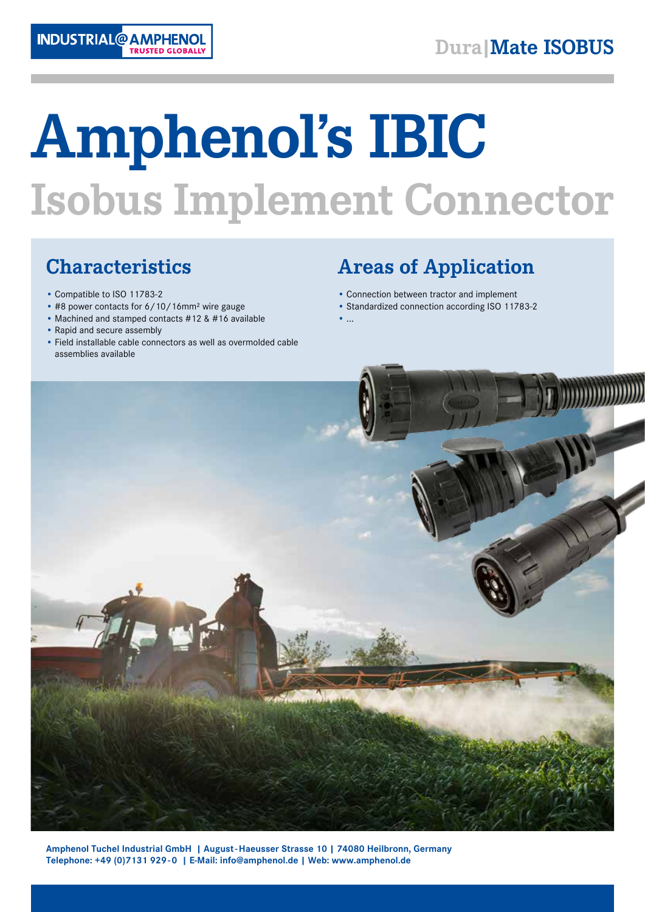

# **Amphenol's IBIC Isobus Implement Connector**

## **Characteristics**

- Compatible to ISO 11783-2
- #8 power contacts for 6/10/16mm² wire gauge
- Machined and stamped contacts #12 & #16 available
- Rapid and secure assembly
- Field installable cable connectors as well as overmolded cable assemblies available

## **Areas of Application**

- Connection between tractor and implement
- Standardized connection according ISO 11783-2
- $\bullet$  ...



**Amphenol Tuchel Industrial GmbH | August-Haeusser Strasse 10 | 74080 Heilbronn, Germany Telephone: +49 (0)7131 929-0 | E-Mail: info@amphenol.de | Web: www.amphenol.de**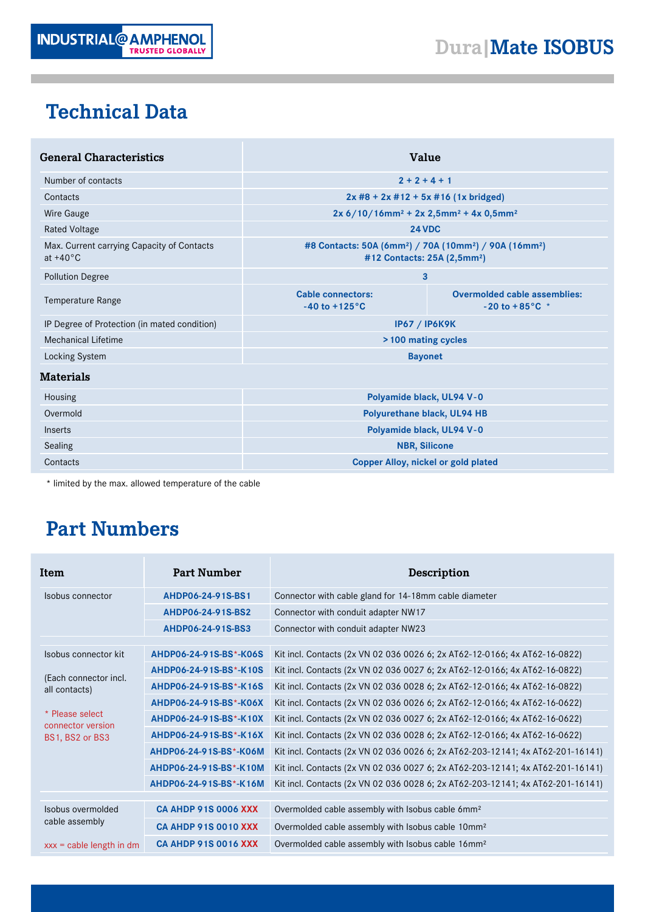

## **Technical Data**

| <b>General Characteristics</b>                                   | Value                                                                                                                                 |                                                                   |  |  |
|------------------------------------------------------------------|---------------------------------------------------------------------------------------------------------------------------------------|-------------------------------------------------------------------|--|--|
| Number of contacts                                               | $2 + 2 + 4 + 1$                                                                                                                       |                                                                   |  |  |
| Contacts                                                         | $2x #8 + 2x #12 + 5x #16 (1x bridged)$                                                                                                |                                                                   |  |  |
| <b>Wire Gauge</b>                                                | $2x 6/10/16$ mm <sup>2</sup> + 2x 2,5mm <sup>2</sup> + 4x 0,5mm <sup>2</sup>                                                          |                                                                   |  |  |
| <b>Rated Voltage</b>                                             | <b>24 VDC</b>                                                                                                                         |                                                                   |  |  |
| Max. Current carrying Capacity of Contacts<br>at $+40^{\circ}$ C | #8 Contacts: 50A (6mm <sup>2</sup> ) / 70A (10mm <sup>2</sup> ) / 90A (16mm <sup>2</sup> )<br>#12 Contacts: 25A (2,5mm <sup>2</sup> ) |                                                                   |  |  |
| <b>Pollution Degree</b>                                          | 3                                                                                                                                     |                                                                   |  |  |
| Temperature Range                                                | <b>Cable connectors:</b><br>$-40$ to $+125^{\circ}$ C                                                                                 | <b>Overmolded cable assemblies:</b><br>$-20$ to $+85^{\circ}$ C * |  |  |
| IP Degree of Protection (in mated condition)                     | <b>IP67 / IP6K9K</b>                                                                                                                  |                                                                   |  |  |
| Mechanical Lifetime                                              | >100 mating cycles                                                                                                                    |                                                                   |  |  |
| Locking System                                                   | <b>Bayonet</b>                                                                                                                        |                                                                   |  |  |
| <b>Materials</b>                                                 |                                                                                                                                       |                                                                   |  |  |
| Housing                                                          | Polyamide black, UL94 V-0                                                                                                             |                                                                   |  |  |
| Overmold                                                         | Polyurethane black, UL94 HB                                                                                                           |                                                                   |  |  |
| Inserts                                                          | Polyamide black, UL94 V-0                                                                                                             |                                                                   |  |  |
| Sealing                                                          | <b>NBR, Silicone</b>                                                                                                                  |                                                                   |  |  |
| Contacts                                                         | <b>Copper Alloy, nickel or gold plated</b>                                                                                            |                                                                   |  |  |

\* limited by the max. allowed temperature of the cable

## **Part Numbers**

| Item                                                                                                                      | <b>Part Number</b>                                                                                                                                                                                           | Description                                                                                                                                                                                                                                                                                                                                                                                                                                                                                                                                                                                                                                          |  |  |
|---------------------------------------------------------------------------------------------------------------------------|--------------------------------------------------------------------------------------------------------------------------------------------------------------------------------------------------------------|------------------------------------------------------------------------------------------------------------------------------------------------------------------------------------------------------------------------------------------------------------------------------------------------------------------------------------------------------------------------------------------------------------------------------------------------------------------------------------------------------------------------------------------------------------------------------------------------------------------------------------------------------|--|--|
| Isobus connector                                                                                                          | AHDP06-24-91S-BS1                                                                                                                                                                                            | Connector with cable gland for 14-18mm cable diameter                                                                                                                                                                                                                                                                                                                                                                                                                                                                                                                                                                                                |  |  |
|                                                                                                                           | AHDP06-24-91S-BS2                                                                                                                                                                                            | Connector with conduit adapter NW17                                                                                                                                                                                                                                                                                                                                                                                                                                                                                                                                                                                                                  |  |  |
|                                                                                                                           | AHDP06-24-91S-BS3                                                                                                                                                                                            | Connector with conduit adapter NW23                                                                                                                                                                                                                                                                                                                                                                                                                                                                                                                                                                                                                  |  |  |
| Isobus connector kit<br>(Each connector incl.<br>all contacts)<br>* Please select<br>connector version<br>BS1, BS2 or BS3 | AHDP06-24-91S-BS*-K06S<br>AHDP06-24-91S-BS*-K10S<br>AHDP06-24-91S-BS*-K16S<br>AHDP06-24-91S-BS*-K06X<br>AHDP06-24-91S-BS*-K10X<br>AHDP06-24-91S-BS*-K16X<br>AHDP06-24-91S-BS*-K06M<br>AHDP06-24-91S-BS*-K10M | Kit incl. Contacts (2x VN 02 036 0026 6; 2x AT62-12-0166; 4x AT62-16-0822)<br>Kit incl. Contacts (2x VN 02 036 0027 6; 2x AT62-12-0166; 4x AT62-16-0822)<br>Kit incl. Contacts (2x VN 02 036 0028 6; 2x AT62-12-0166; 4x AT62-16-0822)<br>Kit incl. Contacts (2x VN 02 036 0026 6; 2x AT62-12-0166; 4x AT62-16-0622)<br>Kit incl. Contacts (2x VN 02 036 0027 6; 2x AT62-12-0166; 4x AT62-16-0622)<br>Kit incl. Contacts (2x VN 02 036 0028 6; 2x AT62-12-0166; 4x AT62-16-0622)<br>Kit incl. Contacts (2x VN 02 036 0026 6; 2x AT62-203-12141; 4x AT62-201-16141)<br>Kit incl. Contacts (2x VN 02 036 0027 6; 2x AT62-203-12141; 4x AT62-201-16141) |  |  |
|                                                                                                                           | AHDP06-24-91S-BS*-K16M                                                                                                                                                                                       | Kit incl. Contacts (2x VN 02 036 0028 6; 2x AT62-203-12141; 4x AT62-201-16141)                                                                                                                                                                                                                                                                                                                                                                                                                                                                                                                                                                       |  |  |
|                                                                                                                           |                                                                                                                                                                                                              |                                                                                                                                                                                                                                                                                                                                                                                                                                                                                                                                                                                                                                                      |  |  |
| Isobus overmolded<br>cable assembly                                                                                       | <b>CA AHDP 91S 0006 XXX</b>                                                                                                                                                                                  | Overmolded cable assembly with Isobus cable 6mm <sup>2</sup>                                                                                                                                                                                                                                                                                                                                                                                                                                                                                                                                                                                         |  |  |
|                                                                                                                           | <b>CA AHDP 91S 0010 XXX</b>                                                                                                                                                                                  | Overmolded cable assembly with Isobus cable 10mm <sup>2</sup>                                                                                                                                                                                                                                                                                                                                                                                                                                                                                                                                                                                        |  |  |
| $xxx = cable length in dm$                                                                                                | <b>CA AHDP 91S 0016 XXX</b>                                                                                                                                                                                  | Overmolded cable assembly with Isobus cable 16mm <sup>2</sup>                                                                                                                                                                                                                                                                                                                                                                                                                                                                                                                                                                                        |  |  |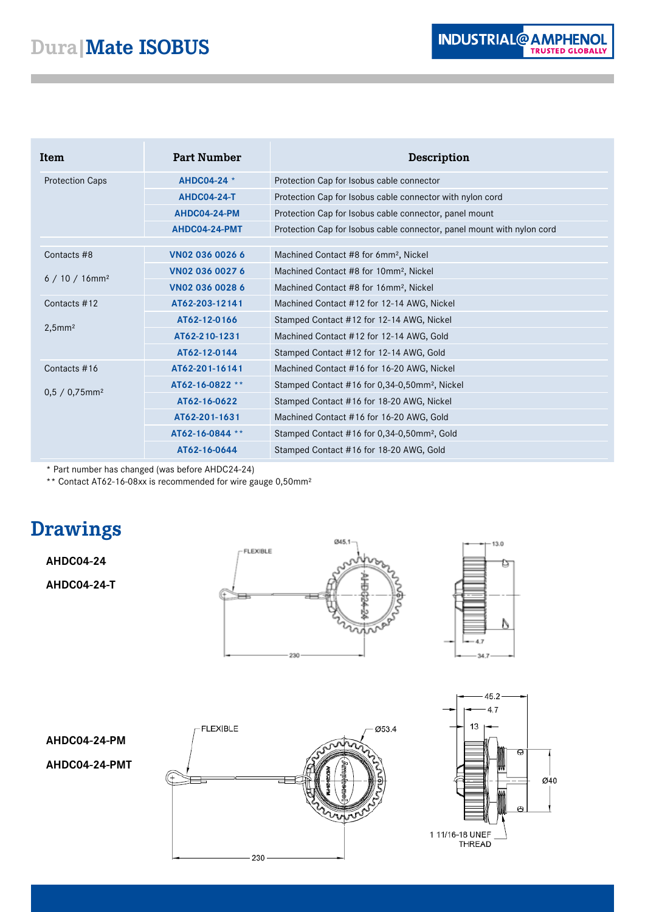| Item                                         | <b>Part Number</b> | Description                                                            |
|----------------------------------------------|--------------------|------------------------------------------------------------------------|
| <b>Protection Caps</b>                       | AHDC04-24 *        | Protection Cap for Isobus cable connector                              |
|                                              | <b>AHDC04-24-T</b> | Protection Cap for Isobus cable connector with nylon cord              |
|                                              | AHDC04-24-PM       | Protection Cap for Isobus cable connector, panel mount                 |
|                                              | AHDC04-24-PMT      | Protection Cap for Isobus cable connector, panel mount with nylon cord |
|                                              |                    |                                                                        |
| Contacts #8                                  | VN02 036 0026 6    | Machined Contact #8 for 6mm <sup>2</sup> , Nickel                      |
| $6/10/16$ mm <sup>2</sup>                    | VN02 036 0027 6    | Machined Contact #8 for 10mm <sup>2</sup> , Nickel                     |
|                                              | VN02 036 0028 6    | Machined Contact #8 for 16mm <sup>2</sup> , Nickel                     |
| Contacts #12                                 | AT62-203-12141     | Machined Contact #12 for 12-14 AWG, Nickel                             |
| $2,5$ mm <sup>2</sup>                        | AT62-12-0166       | Stamped Contact #12 for 12-14 AWG, Nickel                              |
|                                              | AT62-210-1231      | Machined Contact #12 for 12-14 AWG, Gold                               |
|                                              | AT62-12-0144       | Stamped Contact #12 for 12-14 AWG, Gold                                |
| Contacts #16<br>$0,5 / 0,75$ mm <sup>2</sup> | AT62-201-16141     | Machined Contact #16 for 16-20 AWG, Nickel                             |
|                                              | AT62-16-0822 **    | Stamped Contact #16 for 0,34-0,50mm <sup>2</sup> , Nickel              |
|                                              | AT62-16-0622       | Stamped Contact #16 for 18-20 AWG, Nickel                              |
|                                              | AT62-201-1631      | Machined Contact #16 for 16-20 AWG, Gold                               |
|                                              | AT62-16-0844 **    | Stamped Contact #16 for 0,34-0,50mm <sup>2</sup> , Gold                |
|                                              | AT62-16-0644       | Stamped Contact #16 for 18-20 AWG, Gold                                |

\* Part number has changed (was before AHDC24-24)

\*\* Contact AT62-16-08xx is recommended for wire gauge 0,50mm²

## **Drawings**

### **AHDC04-24**

**AHDC04-24-T**

**AHDC04-24-PM**

**AHDC04-24-PMT**